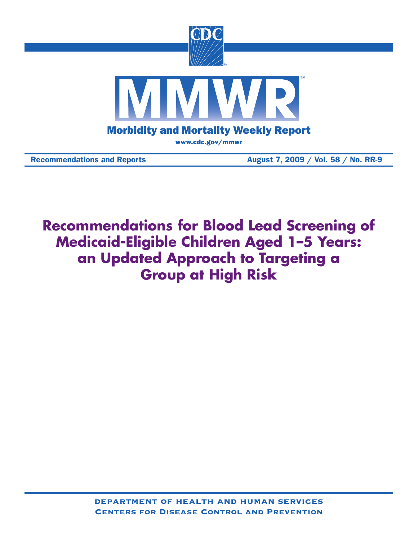

Recommendations and Reports **August 7, 2009** / Vol. 58 / No. RR-9

**Recommendations for Blood Lead Screening of Medicaid-Eligible Children Aged 1–5 Years: an Updated Approach to Targeting a Group at High Risk**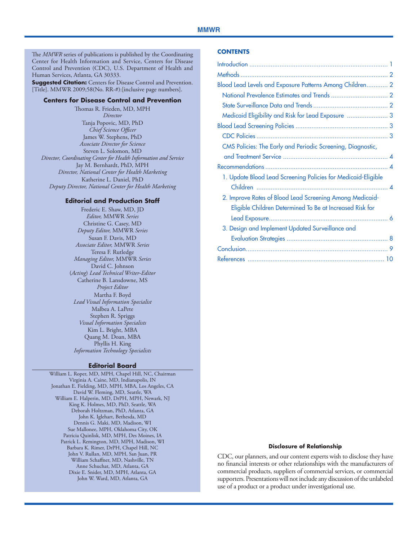#### **MMWR**

The *MMWR* series of publications is published by the Coordinating Center for Health Information and Service, Centers for Disease Control and Prevention (CDC), U.S. Department of Health and Human Services, Atlanta, GA 30333.

**Suggested Citation:** Centers for Disease Control and Prevention. [Title]. MMWR 2009;58(No. RR-#):[inclusive page numbers].

#### **Centers for Disease Control and Prevention**

Thomas R. Frieden, MD, MPH *Director* Tanja Popovic, MD, PhD *Chief Science Officer* James W. Stephens, PhD *Associate Director for Science* Steven L. Solomon, MD *Director, Coordinating Center for Health Information and Service* Jay M. Bernhardt, PhD, MPH *Director, National Center for Health Marketing* Katherine L. Daniel, PhD *Deputy Director, National Center for Health Marketing*

#### **Editorial and Production Staff**

Frederic E. Shaw, MD, JD *Editor,* MMWR *Series* Christine G. Casey, MD *Deputy Editor,* MMWR *Series* Susan F. Davis, MD *Associate Editor,* MMWR *Series* Teresa F. Rutledge *Managing Editor,* MMWR *Series* David C. Johnson (*Acting*) *Lead Technical Writer-Editor* Catherine B. Lansdowne, MS *Project Editor* Martha F. Boyd *Lead Visual Information Specialist* Malbea A. LaPete Stephen R. Spriggs *Visual Information Specialists* Kim L. Bright, MBA Quang M. Doan, MBA Phyllis H. King *Information Technology Specialists*

#### **Editorial Board**

William L. Roper, MD, MPH, Chapel Hill, NC, Chairman Virginia A. Caine, MD, Indianapolis, IN Jonathan E. Fielding, MD, MPH, MBA, Los Angeles, CA David W. Fleming, MD, Seattle, WA William E. Halperin, MD, DrPH, MPH, Newark, NJ King K. Holmes, MD, PhD, Seattle, WA Deborah Holtzman, PhD, Atlanta, GA John K. Iglehart, Bethesda, MD Dennis G. Maki, MD, Madison, WI Sue Mallonee, MPH, Oklahoma City, OK Patricia Quinlisk, MD, MPH, Des Moines, IA Patrick L. Remington, MD, MPH, Madison, WI Barbara K. Rimer, DrPH, Chapel Hill, NC John V. Rullan, MD, MPH, San Juan, PR William Schaffner, MD, Nashville, TN Anne Schuchat, MD, Atlanta, GA Dixie E. Snider, MD, MPH, Atlanta, GA John W. Ward, MD, Atlanta, GA

#### **Contents**

| Blood Lead Levels and Exposure Patterns Among Children 2      |  |
|---------------------------------------------------------------|--|
|                                                               |  |
|                                                               |  |
| Medicaid Eligibility and Risk for Lead Exposure  3            |  |
|                                                               |  |
|                                                               |  |
| CMS Policies: The Early and Periodic Screening, Diagnostic,   |  |
|                                                               |  |
|                                                               |  |
| 1. Update Blood Lead Screening Policies for Medicaid-Eligible |  |
|                                                               |  |
| 2. Improve Rates of Blood Lead Screening Among Medicaid-      |  |
| Eligible Children Determined To Be at Increased Risk for      |  |
|                                                               |  |
| 3. Design and Implement Updated Surveillance and              |  |
|                                                               |  |
|                                                               |  |
|                                                               |  |
|                                                               |  |

#### **Disclosure of Relationship**

CDC, our planners, and our content experts wish to disclose they have no financial interests or other relationships with the manufacturers of commercial products, suppliers of commercial services, or commercial supporters. Presentations will not include any discussion of the unlabeled use of a product or a product under investigational use.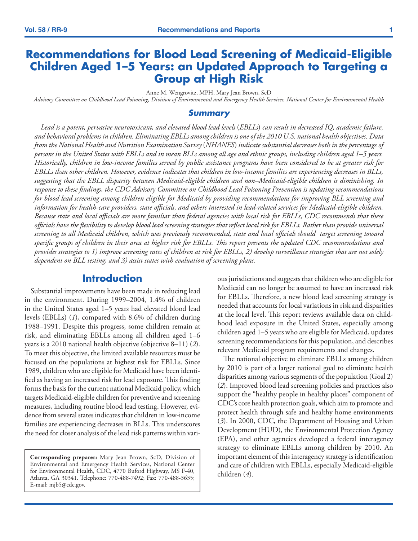# <span id="page-2-0"></span>**Recommendations for Blood Lead Screening of Medicaid-Eligible Children Aged 1–5 Years: an Updated Approach to Targeting a Group at High Risk**

Anne M. Wengrovitz, MPH, Mary Jean Brown, ScD

*Advisory Committee on Childhood Lead Poisoning, Division of Environmental and Emergency Health Services, National Center for Environmental Health*

#### *Summary*

Lead is a potent, pervasive neurotoxicant, and elevated blood lead levels (EBLLs) can result in decreased IQ, academic failure, *and behavioral problems in children. Eliminating EBLLs among children is one of the 2010 U.S. national health objectives. Data from the National Health and Nutrition Examination Survey* (*NHANES*) *indicate substantial decreases both in the percentage of persons in the United States with EBLLs and in mean BLLs among all age and ethnic groups, including children aged 1–5 years. Historically, children in low-income families served by public assistance programs have been considered to be at greater risk for EBLLs than other children. However, evidence indicates that children in low-income families are experiencing decreases in BLLs, suggesting that the EBLL disparity between Medicaid-eligible children and non–Medicaid-eligible children is diminishing. In response to these findings, the CDC Advisory Committee on Childhood Lead Poisoning Prevention is updating recommendations for blood lead screening among children eligible for Medicaid by providing recommendations for improving BLL screening and information for health-care providers, state officials, and others interested in lead-related services for Medicaid-eligible children. Because state and local officials are more familiar than federal agencies with local risk for EBLLs, CDC recommends that these officials have the flexibility to develop blood lead screening strategies that reflect local risk for EBLLs. Rather than provide universal screening to all Medicaid children, which was previously recommended, state and local officials should target screening toward specific groups of children in their area at higher risk for EBLLs. This report presents the updated CDC recommendations and provides strategies to 1) improve screening rates of children at risk for EBLLs, 2) develop surveillance strategies that are not solely dependent on BLL testing, and 3) assist states with evaluation of screening plans.* 

## **Introduction**

Substantial improvements have been made in reducing lead in the environment. During 1999–2004, 1.4% of children in the United States aged 1–5 years had elevated blood lead levels (EBLLs) (*1*), compared with 8.6% of children during 1988–1991. Despite this progress, some children remain at risk, and eliminating EBLLs among all children aged 1–6 years is a 2010 national health objective (objective 8–11) (*2*). To meet this objective, the limited available resources must be focused on the populations at highest risk for EBLLs. Since 1989, children who are eligible for Medicaid have been identified as having an increased risk for lead exposure. This finding forms the basis for the current national Medicaid policy, which targets Medicaid-eligible children for preventive and screening measures, including routine blood lead testing. However, evidence from several states indicates that children in low-income families are experiencing decreases in BLLs. This underscores the need for closer analysis of the lead risk patterns within vari-

**Corresponding preparer:** Mary Jean Brown, ScD, Division of Environmental and Emergency Health Services, National Center for Environmental Health, CDC, 4770 Buford Highway, MS F-40, Atlanta, GA 30341. Telephone: 770-488-7492; Fax: 770-488-3635; E-mail: mjb5@cdc.gov.

ous jurisdictions and suggests that children who are eligible for Medicaid can no longer be assumed to have an increased risk for EBLLs. Therefore, a new blood lead screening strategy is needed that accounts for local variations in risk and disparities at the local level. This report reviews available data on childhood lead exposure in the United States, especially among children aged 1–5 years who are eligible for Medicaid, updates screening recommendations for this population, and describes relevant Medicaid program requirements and changes.

The national objective to eliminate EBLLs among children by 2010 is part of a larger national goal to eliminate health disparities among various segments of the population (Goal 2) (*2*). Improved blood lead screening policies and practices also support the "healthy people in healthy places" component of CDC's core health protection goals, which aim to promote and protect health through safe and healthy home environments (*3*). In 2000, CDC, the Department of Housing and Urban Development (HUD), the Environmental Protection Agency (EPA), and other agencies developed a federal interagency strategy to eliminate EBLLs among children by 2010. An important element of this interagency strategy is identification and care of children with EBLLs, especially Medicaid-eligible children (*4*).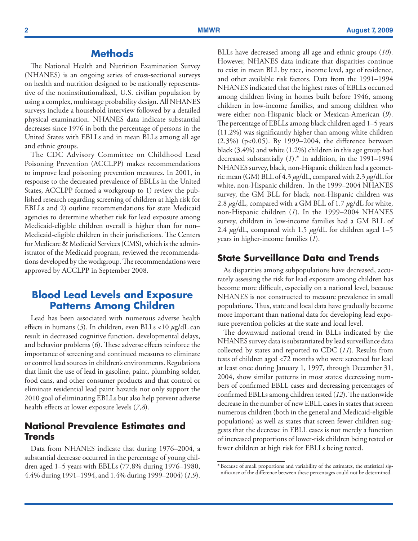## **Methods**

<span id="page-3-0"></span>The National Health and Nutrition Examination Survey (NHANES) is an ongoing series of cross-sectional surveys on health and nutrition designed to be nationally representative of the noninstitutionalized, U.S. civilian population by using a complex, multistage probability design. All NHANES surveys include a household interview followed by a detailed physical examination. NHANES data indicate substantial decreases since 1976 in both the percentage of persons in the United States with EBLLs and in mean BLLs among all age and ethnic groups.

The CDC Advisory Committee on Childhood Lead Poisoning Prevention (ACCLPP) makes recommendations to improve lead poisoning prevention measures. In 2001, in response to the decreased prevalence of EBLLs in the United States, ACCLPP formed a workgroup to 1) review the published research regarding screening of children at high risk for EBLLs and 2) outline recommendations for state Medicaid agencies to determine whether risk for lead exposure among Medicaid-eligible children overall is higher than for non– Medicaid-eligible children in their jurisdictions. The Centers for Medicare & Medicaid Services (CMS), which is the administrator of the Medicaid program, reviewed the recommendations developed by the workgroup. The recommendations were approved by ACCLPP in September 2008.

## **Blood Lead Levels and Exposure Patterns Among Children**

Lead has been associated with numerous adverse health effects in humans (*5*). In children, even BLLs <10 *µ*g/dL can result in decreased cognitive function, developmental delays, and behavior problems (*6*). These adverse effects reinforce the importance of screening and continued measures to eliminate or control lead sources in children's environments. Regulations that limit the use of lead in gasoline, paint, plumbing solder, food cans, and other consumer products and that control or eliminate residential lead paint hazards not only support the 2010 goal of eliminating EBLLs but also help prevent adverse health effects at lower exposure levels (*7,8*).

### **National Prevalence Estimates and Trends**

Data from NHANES indicate that during 1976–2004, a substantial decrease occurred in the percentage of young children aged 1–5 years with EBLLs (77.8% during 1976–1980, 4.4% during 1991–1994, and 1.4% during 1999–2004) (*1,9*).

BLLs have decreased among all age and ethnic groups (*10*). However, NHANES data indicate that disparities continue to exist in mean BLL by race, income level, age of residence, and other available risk factors. Data from the 1991–1994 NHANES indicated that the highest rates of EBLLs occurred among children living in homes built before 1946, among children in low-income families, and among children who were either non-Hispanic black or Mexican-American (*9*). The percentage of EBLLs among black children aged 1–5 years (11.2%) was significantly higher than among white children (2.3%) (p<0.05). By 1999–2004, the difference between black (3.4%) and white (1.2%) children in this age group had decreased substantially (*1*).\* In addition, in the 1991–1994 NHANES survey, black, non-Hispanic children had a geometric mean (GM) BLL of 4.3 *µ*g/dL, compared with 2.3 *µ*g/dL for white, non-Hispanic children. In the 1999–2004 NHANES survey, the GM BLL for black, non-Hispanic children was 2.8 *µ*g/dL, compared with a GM BLL of 1.7 *µ*g/dL for white, non-Hispanic children (*1*). In the 1999–2004 NHANES survey, children in low-income families had a GM BLL of 2.4 *µ*g/dL, compared with 1.5 *µ*g/dL for children aged 1–5 years in higher-income families (*1*).

### **State Surveillance Data and Trends**

As disparities among subpopulations have decreased, accurately assessing the risk for lead exposure among children has become more difficult, especially on a national level, because NHANES is not constructed to measure prevalence in small populations. Thus, state and local data have gradually become more important than national data for developing lead exposure prevention policies at the state and local level.

The downward national trend in BLLs indicated by the NHANES survey data is substantiated by lead surveillance data collected by states and reported to CDC (*11*). Results from tests of children aged <72 months who were screened for lead at least once during January 1, 1997, through December 31, 2004, show similar patterns in most states: decreasing numbers of confirmed EBLL cases and decreasing percentages of confirmed EBLLs among children tested (*12*). The nationwide decrease in the number of new EBLL cases in states that screen numerous children (both in the general and Medicaid-eligible populations) as well as states that screen fewer children suggests that the decrease in EBLL cases is not merely a function of increased proportions of lower-risk children being tested or fewer children at high risk for EBLLs being tested.

<sup>\*</sup>Because of small proportions and variability of the estimates, the statistical significance of the difference between these percentages could not be determined.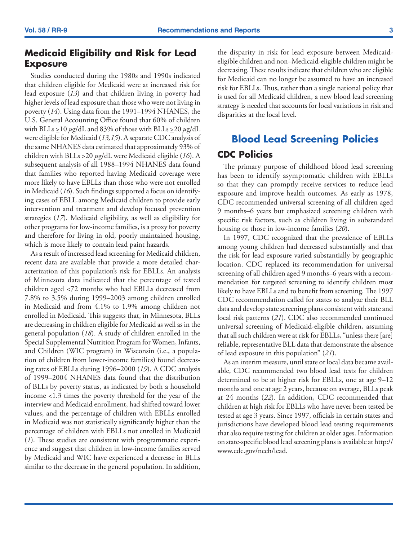## <span id="page-4-0"></span>**Medicaid Eligibility and Risk for Lead Exposure**

Studies conducted during the 1980s and 1990s indicated that children eligible for Medicaid were at increased risk for lead exposure (*13*) and that children living in poverty had higher levels of lead exposure than those who were not living in poverty (*14*). Using data from the 1991–1994 NHANES, the U.S. General Accounting Office found that 60% of children with BLLs >10 *µ*g/dL and 83% of those with BLLs >20 *µ*g/dL were eligible for Medicaid (*13,15*). A separate CDC analysis of the same NHANES data estimated that approximately 93% of children with BLLs >20 *µ*g/dL were Medicaid eligible (*16*). A subsequent analysis of all 1988–1994 NHANES data found that families who reported having Medicaid coverage were more likely to have EBLLs than those who were not enrolled in Medicaid (*16*). Such findings supported a focus on identifying cases of EBLL among Medicaid children to provide early intervention and treatment and develop focused prevention strategies (*17*). Medicaid eligibility, as well as eligibility for other programs for low-income families, is a proxy for poverty and therefore for living in old, poorly maintained housing, which is more likely to contain lead paint hazards.

As a result of increased lead screening for Medicaid children, recent data are available that provide a more detailed characterization of this population's risk for EBLLs. An analysis of Minnesota data indicated that the percentage of tested children aged <72 months who had EBLLs decreased from 7.8% to 3.5% during 1999–2003 among children enrolled in Medicaid and from 4.1% to 1.9% among children not enrolled in Medicaid. This suggests that, in Minnesota, BLLs are decreasing in children eligible for Medicaid as well as in the general population (*18*). A study of children enrolled in the Special Supplemental Nutrition Program for Women, Infants, and Children (WIC program) in Wisconsin (i.e., a population of children from lower-income families) found decreasing rates of EBLLs during 1996–2000 (*19*). A CDC analysis of 1999–2004 NHANES data found that the distribution of BLLs by poverty status, as indicated by both a household income <1.3 times the poverty threshold for the year of the interview and Medicaid enrollment, had shifted toward lower values, and the percentage of children with EBLLs enrolled in Medicaid was not statistically significantly higher than the percentage of children with EBLLs not enrolled in Medicaid (*1*). These studies are consistent with programmatic experience and suggest that children in low-income families served by Medicaid and WIC have experienced a decrease in BLLs similar to the decrease in the general population. In addition, the disparity in risk for lead exposure between Medicaideligible children and non–Medicaid-eligible children might be decreasing. These results indicate that children who are eligible for Medicaid can no longer be assumed to have an increased risk for EBLLs. Thus, rather than a single national policy that is used for all Medicaid children, a new blood lead screening strategy is needed that accounts for local variations in risk and disparities at the local level.

# **Blood Lead Screening Policies CDC Policies**

The primary purpose of childhood blood lead screening has been to identify asymptomatic children with EBLLs so that they can promptly receive services to reduce lead exposure and improve health outcomes. As early as 1978, CDC recommended universal screening of all children aged 9 months–6 years but emphasized screening children with specific risk factors, such as children living in substandard housing or those in low-income families (*20*).

In 1997, CDC recognized that the prevalence of EBLLs among young children had decreased substantially and that the risk for lead exposure varied substantially by geographic location. CDC replaced its recommendation for universal screening of all children aged 9 months–6 years with a recommendation for targeted screening to identify children most likely to have EBLLs and to benefit from screening. The 1997 CDC recommendation called for states to analyze their BLL data and develop state screening plans consistent with state and local risk patterns (*21*). CDC also recommended continued universal screening of Medicaid-eligible children, assuming that all such children were at risk for EBLLs, "unless there [are] reliable, representative BLL data that demonstrate the absence of lead exposure in this population" (*21*).

As an interim measure, until state or local data became available, CDC recommended two blood lead tests for children determined to be at higher risk for EBLLs, one at age 9–12 months and one at age 2 years, because on average, BLLs peak at 24 months (*22*). In addition, CDC recommended that children at high risk for EBLLs who have never been tested be tested at age 3 years. Since 1997, officials in certain states and jurisdictions have developed blood lead testing requirements that also require testing for children at older ages. Information on state-specific blood lead screening plans is available at [http://](http://www.cdc.gov/nceh/lead) [www.cdc.gov/nceh/lead.](http://www.cdc.gov/nceh/lead)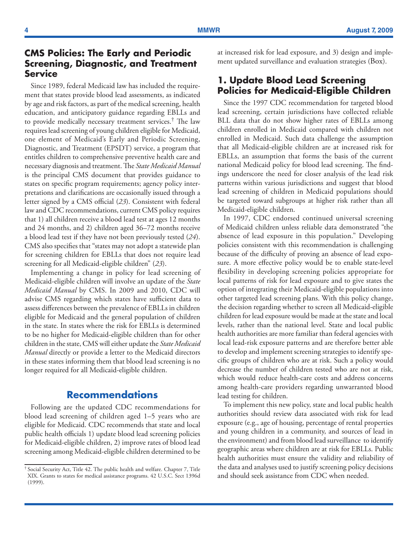## <span id="page-5-0"></span>**CMS Policies: The Early and Periodic Screening, Diagnostic, and Treatment Service**

Since 1989, federal Medicaid law has included the requirement that states provide blood lead assessments, as indicated by age and risk factors, as part of the medical screening, health education, and anticipatory guidance regarding EBLLs and to provide medically necessary treatment services.† The law requires lead screening of young children eligible for Medicaid, one element of Medicaid's Early and Periodic Screening, Diagnostic, and Treatment (EPSDT) service, a program that entitles children to comprehensive preventive health care and necessary diagnosis and treatment. The *State Medicaid Manual* is the principal CMS document that provides guidance to states on specific program requirements; agency policy interpretations and clarifications are occasionally issued through a letter signed by a CMS official (*23*). Consistent with federal law and CDC recommendations, current CMS policy requires that 1) all children receive a blood lead test at ages 12 months and 24 months, and 2) children aged 36–72 months receive a blood lead test if they have not been previously tested (*24*). CMS also specifies that "states may not adopt a statewide plan for screening children for EBLLs that does not require lead screening for all Medicaid-eligible children" (*23*).

Implementing a change in policy for lead screening of Medicaid-eligible children will involve an update of the *State Medicaid Manual* by CMS. In 2009 and 2010, CDC will advise CMS regarding which states have sufficient data to assess differences between the prevalence of EBLLs in children eligible for Medicaid and the general population of children in the state. In states where the risk for EBLLs is determined to be no higher for Medicaid-eligible children than for other children in the state, CMS will either update the *State Medicaid Manual* directly or provide a letter to the Medicaid directors in these states informing them that blood lead screening is no longer required for all Medicaid-eligible children.

## **Recommendations**

Following are the updated CDC recommendations for blood lead screening of children aged 1–5 years who are eligible for Medicaid. CDC recommends that state and local public health officials 1) update blood lead screening policies for Medicaid-eligible children, 2) improve rates of blood lead screening among Medicaid-eligible children determined to be at increased risk for lead exposure, and 3) design and implement updated surveillance and evaluation strategies (Box).

## **1. Update Blood Lead Screening Policies for Medicaid-Eligible Children**

Since the 1997 CDC recommendation for targeted blood lead screening, certain jurisdictions have collected reliable BLL data that do not show higher rates of EBLLs among children enrolled in Medicaid compared with children not enrolled in Medicaid. Such data challenge the assumption that all Medicaid-eligible children are at increased risk for EBLLs, an assumption that forms the basis of the current national Medicaid policy for blood lead screening. The findings underscore the need for closer analysis of the lead risk patterns within various jurisdictions and suggest that blood lead screening of children in Medicaid populations should be targeted toward subgroups at higher risk rather than all Medicaid-eligible children.

In 1997, CDC endorsed continued universal screening of Medicaid children unless reliable data demonstrated "the absence of lead exposure in this population." Developing policies consistent with this recommendation is challenging because of the difficulty of proving an absence of lead exposure. A more effective policy would be to enable state-level flexibility in developing screening policies appropriate for local patterns of risk for lead exposure and to give states the option of integrating their Medicaid-eligible populations into other targeted lead screening plans. With this policy change, the decision regarding whether to screen all Medicaid-eligible children for lead exposure would be made at the state and local levels, rather than the national level. State and local public health authorities are more familiar than federal agencies with local lead-risk exposure patterns and are therefore better able to develop and implement screening strategies to identify specific groups of children who are at risk. Such a policy would decrease the number of children tested who are not at risk, which would reduce health-care costs and address concerns among health-care providers regarding unwarranted blood lead testing for children.

To implement this new policy, state and local public health authorities should review data associated with risk for lead exposure (e.g., age of housing, percentage of rental properties and young children in a community, and sources of lead in the environment) and from blood lead surveillance to identify geographic areas where children are at risk for EBLLs. Public health authorities must ensure the validity and reliability of the data and analyses used to justify screening policy decisions and should seek assistance from CDC when needed.

<sup>†</sup> Social Security Act, Title 42. The public health and welfare. Chapter 7, Title XIX. Grants to states for medical assistance programs. 42 U.S.C. Sect 1396d (1999).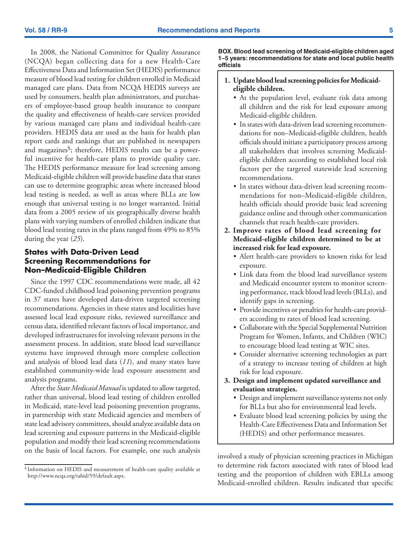In 2008, the National Committee for Quality Assurance (NCQA) began collecting data for a new Health-Care Effectiveness Data and Information Set (HEDIS) performance measure of blood lead testing for children enrolled in Medicaid managed care plans. Data from NCQA HEDIS surveys are used by consumers, health plan administrators, and purchasers of employee-based group health insurance to compare the quality and effectiveness of health-care services provided by various managed care plans and individual health-care providers. HEDIS data are used as the basis for health plan report cards and rankings that are published in newspapers and magazines<sup>§</sup>; therefore, HEDIS results can be a powerful incentive for health-care plans to provide quality care. The HEDIS performance measure for lead screening among Medicaid-eligible children will provide baseline data that states can use to determine geographic areas where increased blood lead testing is needed, as well as areas where BLLs are low enough that universal testing is no longer warranted. Initial data from a 2005 review of six geographically diverse health plans with varying numbers of enrolled children indicate that blood lead testing rates in the plans ranged from 49% to 85% during the year (*25*).

#### **States with Data-Driven Lead Screening Recommendations for Non–Medicaid-Eligible Children**

Since the 1997 CDC recommendations were made, all 42 CDC-funded childhood lead poisoning prevention programs in 37 states have developed data-driven targeted screening recommendations. Agencies in these states and localities have assessed local lead exposure risks, reviewed surveillance and census data, identified relevant factors of local importance, and developed infrastructures for involving relevant persons in the assessment process. In addition, state blood lead surveillance systems have improved through more complete collection and analysis of blood lead data (*11*), and many states have established community-wide lead exposure assessment and analysis programs.

After the *State Medicaid Manual* is updated to allow targeted, rather than universal, blood lead testing of children enrolled in Medicaid, state-level lead poisoning prevention programs, in partnership with state Medicaid agencies and members of state lead advisory committees, should analyze available data on lead screening and exposure patterns in the Medicaid-eligible population and modify their lead screening recommendations on the basis of local factors. For example, one such analysis

**BOX. Blood lead screening of Medicaid-eligible children aged 1–5 years: recommendations for state and local public health officials** 

#### **1. Update blood lead screening policies for Medicaideligible children.**

- At the population level, evaluate risk data among all children and the risk for lead exposure among Medicaid-eligible children.
- In states with data-driven lead screening recommendations for non–Medicaid-eligible children, health officials should initiate a participatory process among all stakeholders that involves screening Medicaideligible children according to established local risk factors per the targeted statewide lead screening recommendations.
- In states without data-driven lead screening recommendations for non–Medicaid-eligible children, health officials should provide basic lead screening guidance online and through other communication channels that reach health-care providers.
- **2. Improve rates of blood lead screening for Medicaid-eligible children determined to be at increased risk for lead exposure.**
	- Alert health-care providers to known risks for lead exposure.
	- • Link data from the blood lead surveillance system and Medicaid encounter system to monitor screening performance, track blood lead levels (BLLs), and identify gaps in screening.
	- Provide incentives or penalties for health-care providers according to rates of blood lead screening.
	- Collaborate with the Special Supplemental Nutrition Program for Women, Infants, and Children (WIC) to encourage blood lead testing at WIC sites.
	- • Consider alternative screening technologies as part of a strategy to increase testing of children at high risk for lead exposure.
- **3. Design and implement updated surveillance and evaluation strategies.**
	- Design and implement surveillance systems not only for BLLs but also for environmental lead levels.
	- Evaluate blood lead screening policies by using the Health-Care Effectiveness Data and Information Set (HEDIS) and other performance measures.

involved a study of physician screening practices in Michigan to determine risk factors associated with rates of blood lead testing and the proportion of children with EBLLs among Medicaid-enrolled children. Results indicated that specific

<sup>§</sup> Information on HEDIS and measurement of health-care quality available at <http://www.ncqa.org/tabid/59/default.aspx>.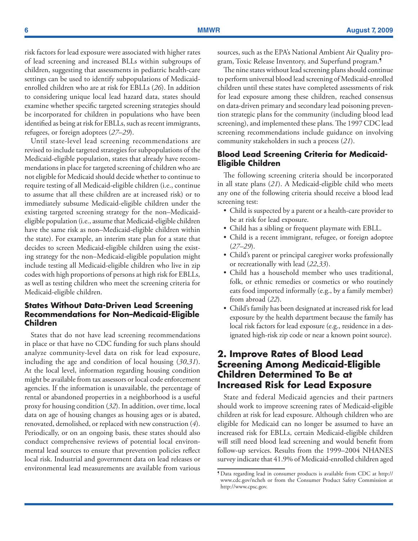risk factors for lead exposure were associated with higher rates of lead screening and increased BLLs within subgroups of children, suggesting that assessments in pediatric health-care settings can be used to identify subpopulations of Medicaidenrolled children who are at risk for EBLLs (*26*). In addition to considering unique local lead hazard data, states should examine whether specific targeted screening strategies should be incorporated for children in populations who have been identified as being at risk for EBLLs, such as recent immigrants, refugees, or foreign adoptees (*27–29*).

Until state-level lead screening recommendations are revised to include targeted strategies for subpopulations of the Medicaid-eligible population, states that already have recommendations in place for targeted screening of children who are not eligible for Medicaid should decide whether to continue to require testing of all Medicaid-eligible children (i.e., continue to assume that all these children are at increased risk) or to immediately subsume Medicaid-eligible children under the existing targeted screening strategy for the non–Medicaideligible population (i.e., assume that Medicaid-eligible children have the same risk as non–Medicaid-eligible children within the state). For example, an interim state plan for a state that decides to screen Medicaid-eligible children using the existing strategy for the non–Medicaid-eligible population might include testing all Medicaid-eligible children who live in zip codes with high proportions of persons at high risk for EBLLs, as well as testing children who meet the screening criteria for Medicaid-eligible children.

### **States Without Data-Driven Lead Screening Recommendations for Non–Medicaid-Eligible Children**

States that do not have lead screening recommendations in place or that have no CDC funding for such plans should analyze community-level data on risk for lead exposure, including the age and condition of local housing (*30,31*). At the local level, information regarding housing condition might be available from tax assessors or local code enforcement agencies. If the information is unavailable, the percentage of rental or abandoned properties in a neighborhood is a useful proxy for housing condition (*32*). In addition, over time, local data on age of housing changes as housing ages or is abated, renovated, demolished, or replaced with new construction (*4*). Periodically, or on an ongoing basis, these states should also conduct comprehensive reviews of potential local environmental lead sources to ensure that prevention policies reflect local risk. Industrial and government data on lead releases or environmental lead measurements are available from various

sources, such as the EPA's National Ambient Air Quality program, Toxic Release Inventory, and Superfund program.¶

The nine states without lead screening plans should continue to perform universal blood lead screening of Medicaid-enrolled children until these states have completed assessments of risk for lead exposure among these children, reached consensus on data-driven primary and secondary lead poisoning prevention strategic plans for the community (including blood lead screening), and implemented these plans. The 1997 CDC lead screening recommendations include guidance on involving community stakeholders in such a process (*21*).

### **Blood Lead Screening Criteria for Medicaid-Eligible Children**

The following screening criteria should be incorporated in all state plans (*21*). A Medicaid-eligible child who meets any one of the following criteria should receive a blood lead screening test:

- Child is suspected by a parent or a health-care provider to be at risk for lead exposure.
- Child has a sibling or frequent playmate with EBLL.
- • Child is a recent immigrant, refugee, or foreign adoptee (*27–29*).
- • Child's parent or principal caregiver works professionally or recreationally with lead (*22,33*).
- Child has a household member who uses traditional, folk, or ethnic remedies or cosmetics or who routinely eats food imported informally (e.g., by a family member) from abroad (*22*).
- Child's family has been designated at increased risk for lead exposure by the health department because the family has local risk factors for lead exposure (e.g., residence in a designated high-risk zip code or near a known point source).

## **2. Improve Rates of Blood Lead Screening Among Medicaid-Eligible Children Determined To Be at Increased Risk for Lead Exposure**

State and federal Medicaid agencies and their partners should work to improve screening rates of Medicaid-eligible children at risk for lead exposure. Although children who are eligible for Medicaid can no longer be assumed to have an increased risk for EBLLs, certain Medicaid-eligible children will still need blood lead screening and would benefit from follow-up services. Results from the 1999–2004 NHANES survey indicate that 41.9% of Medicaid-enrolled children aged

<sup>¶</sup> Data regarding lead in consumer products is available from CDC at [http://](http://www.cdc.gov/ncheh ) [www.cdc.gov/ncheh](http://www.cdc.gov/ncheh ) or from the Consumer Product Safety Commission at [http://www.cpsc.gov.](http://www.cpsc.gov )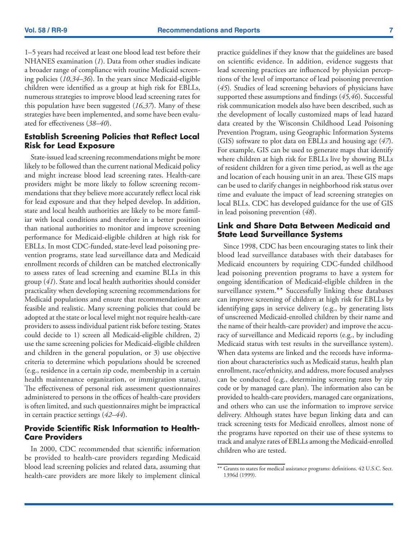1–5 years had received at least one blood lead test before their NHANES examination (*1*). Data from other studies indicate a broader range of compliance with routine Medicaid screening policies (*10,34–36*). In the years since Medicaid-eligible children were identified as a group at high risk for EBLLs, numerous strategies to improve blood lead screening rates for this population have been suggested (*16,37*). Many of these strategies have been implemented, and some have been evaluated for effectiveness (*38*–*40*).

### **Establish Screening Policies that Reflect Local Risk for Lead Exposure**

State-issued lead screening recommendations might be more likely to be followed than the current national Medicaid policy and might increase blood lead screening rates. Health-care providers might be more likely to follow screening recommendations that they believe more accurately reflect local risk for lead exposure and that they helped develop. In addition, state and local health authorities are likely to be more familiar with local conditions and therefore in a better position than national authorities to monitor and improve screening performance for Medicaid-eligible children at high risk for EBLLs. In most CDC-funded, state-level lead poisoning prevention programs, state lead surveillance data and Medicaid enrollment records of children can be matched electronically to assess rates of lead screening and examine BLLs in this group (*41*). State and local health authorities should consider practicality when developing screening recommendations for Medicaid populations and ensure that recommendations are feasible and realistic. Many screening policies that could be adopted at the state or local level might not require health-care providers to assess individual patient risk before testing. States could decide to 1) screen all Medicaid-eligible children, 2) use the same screening policies for Medicaid-eligible children and children in the general population, or 3) use objective criteria to determine which populations should be screened (e.g., residence in a certain zip code, membership in a certain health maintenance organization, or immigration status). The effectiveness of personal risk assessment questionnaires administered to persons in the offices of health-care providers is often limited, and such questionnaires might be impractical in certain practice settings (*42–44*).

### **Provide Scientific Risk Information to Health-Care Providers**

In 2000, CDC recommended that scientific information be provided to health-care providers regarding Medicaid blood lead screening policies and related data, assuming that health-care providers are more likely to implement clinical practice guidelines if they know that the guidelines are based on scientific evidence. In addition, evidence suggests that lead screening practices are influenced by physician perceptions of the level of importance of lead poisoning prevention (*45*)*.* Studies of lead screening behaviors of physicians have supported these assumptions and findings (*45,46*). Successful risk communication models also have been described, such as the development of locally customized maps of lead hazard data created by the Wisconsin Childhood Lead Poisoning Prevention Program, using Geographic Information Systems (GIS) software to plot data on EBLLs and housing age (*47*). For example, GIS can be used to generate maps that identify where children at high risk for EBLLs live by showing BLLs of resident children for a given time period, as well as the age and location of each housing unit in an area. These GIS maps can be used to clarify changes in neighborhood risk status over time and evaluate the impact of lead screening strategies on local BLLs. CDC has developed guidance for the use of GIS in lead poisoning prevention (*48*).

#### **Link and Share Data Between Medicaid and State Lead Surveillance Systems**

Since 1998, CDC has been encouraging states to link their blood lead surveillance databases with their databases for Medicaid encounters by requiring CDC-funded childhood lead poisoning prevention programs to have a system for ongoing identification of Medicaid-eligible children in the surveillance system.\*\* Successfully linking these databases can improve screening of children at high risk for EBLLs by identifying gaps in service delivery (e.g., by generating lists of unscreened Medicaid-enrolled children by their name and the name of their health-care provider) and improve the accuracy of surveillance and Medicaid reports (e.g., by including Medicaid status with test results in the surveillance system). When data systems are linked and the records have information about characteristics such as Medicaid status, health plan enrollment, race/ethnicity, and address, more focused analyses can be conducted (e.g., determining screening rates by zip code or by managed care plan). The information also can be provided to health-care providers, managed care organizations, and others who can use the information to improve service delivery. Although states have begun linking data and can track screening tests for Medicaid enrollees, almost none of the programs have reported on their use of these systems to track and analyze rates of EBLLs among the Medicaid-enrolled children who are tested.

<sup>\*\*</sup> Grants to states for medical assistance programs: definitions. 42 U.S.C. Sect. 1396d (1999).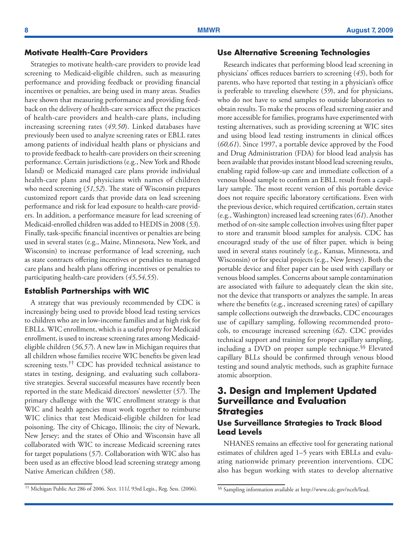### **Motivate Health-Care Providers**

Strategies to motivate health-care providers to provide lead screening to Medicaid-eligible children, such as measuring performance and providing feedback or providing financial incentives or penalties, are being used in many areas. Studies have shown that measuring performance and providing feedback on the delivery of health-care services affect the practices of health-care providers and health-care plans, including increasing screening rates (*49,50*). Linked databases have previously been used to analyze screening rates or EBLL rates among patients of individual health plans or physicians and to provide feedback to health-care providers on their screening performance. Certain jurisdictions (e.g., New York and Rhode Island) or Medicaid managed care plans provide individual health-care plans and physicians with names of children who need screening (*51,52*). The state of Wisconsin prepares customized report cards that provide data on lead screening performance and risk for lead exposure to health-care providers. In addition, a performance measure for lead screening of Medicaid-enrolled children was added to HEDIS in 2008 (*53*). Finally, task-specific financial incentives or penalties are being used in several states (e.g., Maine, Minnesota, New York, and Wisconsin) to increase performance of lead screening, such as state contracts offering incentives or penalties to managed care plans and health plans offering incentives or penalties to participating health-care providers (*45,54,55*).

#### **Establish Partnerships with WIC**

A strategy that was previously recommended by CDC is increasingly being used to provide blood lead testing services to children who are in low-income families and at high risk for EBLLs. WIC enrollment, which is a useful proxy for Medicaid enrollment, is used to increase screening rates among Medicaideligible children (*56,57*). A new law in Michigan requires that all children whose families receive WIC benefits be given lead screening tests.<sup>††</sup> CDC has provided technical assistance to states in testing, designing, and evaluating such collaborative strategies. Several successful measures have recently been reported in the state Medicaid directors' newsletter (*57*). The primary challenge with the WIC enrollment strategy is that WIC and health agencies must work together to reimburse WIC clinics that test Medicaid-eligible children for lead poisoning. The city of Chicago, Illinois; the city of Newark, New Jersey; and the states of Ohio and Wisconsin have all collaborated with WIC to increase Medicaid screening rates for target populations (*57*). Collaboration with WIC also has been used as an effective blood lead screening strategy among Native American children (*58*).

### **Use Alternative Screening Technologies**

Research indicates that performing blood lead screening in physicians' offices reduces barriers to screening (*45*), both for parents, who have reported that testing in a physician's office is preferable to traveling elsewhere (*59*), and for physicians, who do not have to send samples to outside laboratories to obtain results. To make the process of lead screening easier and more accessible for families, programs have experimented with testing alternatives, such as providing screening at WIC sites and using blood lead testing instruments in clinical offices (*60,61*). Since 1997, a portable device approved by the Food and Drug Administration (FDA) for blood lead analysis has been available that provides instant blood lead screening results, enabling rapid follow-up care and immediate collection of a venous blood sample to confirm an EBLL result from a capillary sample. The most recent version of this portable device does not require specific laboratory certifications. Even with the previous device, which required certification, certain states (e.g., Washington) increased lead screening rates (*61*). Another method of on-site sample collection involves using filter paper to store and transmit blood samples for analysis. CDC has encouraged study of the use of filter paper, which is being used in several states routinely (e.g., Kansas, Minnesota, and Wisconsin) or for special projects (e.g., New Jersey). Both the portable device and filter paper can be used with capillary or venous blood samples. Concerns about sample contamination are associated with failure to adequately clean the skin site, not the device that transports or analyzes the sample. In areas where the benefits (e.g., increased screening rates) of capillary sample collections outweigh the drawbacks, CDC encourages use of capillary sampling, following recommended protocols, to encourage increased screening (*62*). CDC provides technical support and training for proper capillary sampling, including a DVD on proper sample technique.§§ Elevated capillary BLLs should be confirmed through venous blood testing and sound analytic methods, such as graphite furnace atomic absorption.

## **3. Design and Implement Updated Surveillance and Evaluation Strategies**

### **Use Surveillance Strategies to Track Blood Lead Levels**

NHANES remains an effective tool for generating national estimates of children aged 1–5 years with EBLLs and evaluating nationwide primary prevention interventions. CDC also has begun working with states to develop alternative

<sup>††</sup> Michigan Public Act 286 of 2006. Sect. 111*l*, 93rd Legis., Reg. Sess. (2006). §§ Sampling information available at [http://www.cdc.gov/nceh/lead.](http://www.cdc.gov/nceh/lead)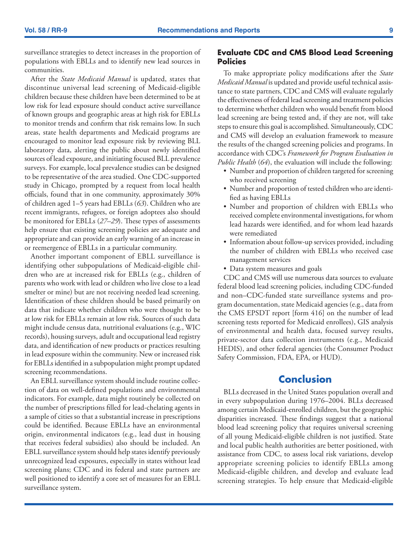<span id="page-10-0"></span>surveillance strategies to detect increases in the proportion of populations with EBLLs and to identify new lead sources in communities.

After the *State Medicaid Manual* is updated, states that discontinue universal lead screening of Medicaid-eligible children because these children have been determined to be at low risk for lead exposure should conduct active surveillance of known groups and geographic areas at high risk for EBLLs to monitor trends and confirm that risk remains low. In such areas, state health departments and Medicaid programs are encouraged to monitor lead exposure risk by reviewing BLL laboratory data, alerting the public about newly identified sources of lead exposure, and initiating focused BLL prevalence surveys. For example, local prevalence studies can be designed to be representative of the area studied. One CDC-supported study in Chicago, prompted by a request from local health officials, found that in one community, approximately 30% of children aged 1–5 years had EBLLs (*63*). Children who are recent immigrants, refugees, or foreign adoptees also should be monitored for EBLLs (*27–29*). These types of assessments help ensure that existing screening policies are adequate and appropriate and can provide an early warning of an increase in or reemergence of EBLLs in a particular community.

Another important component of EBLL surveillance is identifying other subpopulations of Medicaid-eligible children who are at increased risk for EBLLs (e.g., children of parents who work with lead or children who live close to a lead smelter or mine) but are not receiving needed lead screening. Identification of these children should be based primarily on data that indicate whether children who were thought to be at low risk for EBLLs remain at low risk. Sources of such data might include census data, nutritional evaluations (e.g., WIC records), housing surveys, adult and occupational lead registry data, and identification of new products or practices resulting in lead exposure within the community. New or increased risk for EBLLs identified in a subpopulation might prompt updated screening recommendations.

An EBLL surveillance system should include routine collection of data on well-defined populations and environmental indicators. For example, data might routinely be collected on the number of prescriptions filled for lead-chelating agents in a sample of cities so that a substantial increase in prescriptions could be identified. Because EBLLs have an environmental origin, environmental indicators (e.g., lead dust in housing that receives federal subsidies) also should be included. An EBLL surveillance system should help states identify previously unrecognized lead exposures, especially in states without lead screening plans; CDC and its federal and state partners are well positioned to identify a core set of measures for an EBLL surveillance system.

### **Evaluate CDC and CMS Blood Lead Screening Policies**

To make appropriate policy modifications after the *State Medicaid Manual* is updated and provide useful technical assistance to state partners, CDC and CMS will evaluate regularly the effectiveness of federal lead screening and treatment policies to determine whether children who would benefit from blood lead screening are being tested and, if they are not, will take steps to ensure this goal is accomplished. Simultaneously, CDC and CMS will develop an evaluation framework to measure the results of the changed screening policies and programs. In accordance with CDC's *Framework for Program Evaluation in Public Health* (*64*), the evaluation will include the following:

- Number and proportion of children targeted for screening who received screening
- • Number and proportion of tested children who are identified as having EBLLs
- • Number and proportion of children with EBLLs who received complete environmental investigations, for whom lead hazards were identified, and for whom lead hazards were remediated
- Information about follow-up services provided, including the number of children with EBLLs who received case management services
- Data system measures and goals

CDC and CMS will use numerous data sources to evaluate federal blood lead screening policies, including CDC-funded and non–CDC-funded state surveillance systems and program documentation, state Medicaid agencies (e.g., data from the CMS EPSDT report [form 416] on the number of lead screening tests reported for Medicaid enrollees), GIS analysis of environmental and health data, focused survey results, private-sector data collection instruments (e.g., Medicaid HEDIS), and other federal agencies (the Consumer Product Safety Commission, FDA, EPA, or HUD).

## **Conclusion**

BLLs decreased in the United States population overall and in every subpopulation during 1976–2004. BLLs decreased among certain Medicaid-enrolled children, but the geographic disparities increased. These findings suggest that a national blood lead screening policy that requires universal screening of all young Medicaid-eligible children is not justified. State and local public health authorities are better positioned, with assistance from CDC, to assess local risk variations, develop appropriate screening policies to identify EBLLs among Medicaid-eligible children, and develop and evaluate lead screening strategies. To help ensure that Medicaid-eligible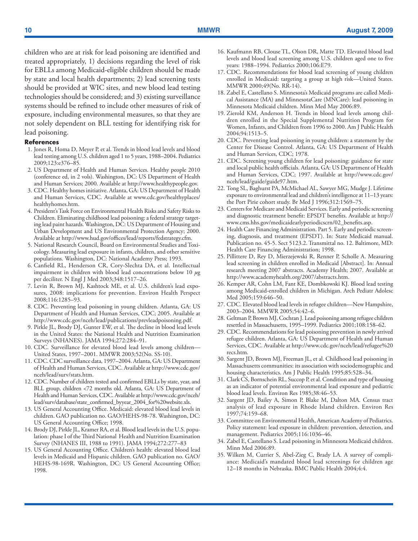<span id="page-11-0"></span>children who are at risk for lead poisoning are identified and treated appropriately, 1) decisions regarding the level of risk for EBLLs among Medicaid-eligible children should be made by state and local health departments; 2) lead screening tests should be provided at WIC sites, and new blood lead testing technologies should be considered; and 3) existing surveillance systems should be refined to include other measures of risk of exposure, including environmental measures, so that they are not solely dependent on BLL testing for identifying risk for lead poisoning.

#### **References**

- 1. Jones R, Homa D, Meyer P, et al. Trends in blood lead levels and blood lead testing among U.S. children aged 1 to 5 years, 1988–2004. Pediatrics 2009;123:e376–85*.*
- 2. US Department of Health and Human Services. Healthy people 2010 (conference ed, in 2 vols). Washington, DC: US Department of Health and Human Services; 2000. Available at <http://www.healthypeople.gov>.
- 3. CDC. Healthy homes initiative. Atlanta, GA: US Department of Health and Human Services, CDC. Available at [www.cdc.gov/healthyplaces/](http://www.cdc.gov/healthyplaces/healthyhomes.htm) [healthyhomes.htm](http://www.cdc.gov/healthyplaces/healthyhomes.htm).
- 4. President's Task Force on Environmental Health Risks and Safety Risks to Children. Eliminating childhood lead poisoning: a federal strategy targeting lead paint hazards. Washington, DC: US Department of Housing and Urban Development and US Environmental Protection Agency; 2000. Available at [http://www.hud.gov/offices/lead/reports/fedstrategy.cfm.](http://www.pubmedcentral.nih.gov/redirect3.cgi?&&reftype=extlink&artid=1332675&iid=125857&jid=253&&http://www.hud.gov/offices/lead/reports/fedstrategy.cfm)
- 5. National Research Council, Board on Environmental Studies and Toxicology. Measuring lead exposure in infants, children, and other sensitive populations. Washington, DC: National Academy Press; 1993.
- 6. Canfield RL, Henderson CR, Cory-Slechta DA, et al. Intellectual impairment in children with blood lead concentrations below 10 *µ*g per deciliter. N Engl J Med 2003;348:1517–26.
- 7. Levin R, Brown MJ, Kashtock ME, et al. U.S. children's lead exposures, 2008: implications for prevention. Environ Health Perspect 2008;116:1285–93.
- 8. CDC. Preventing lead poisoning in young children. Atlanta, GA: US Department of Health and Human Services, CDC; 2005. Available at [http://www.cdc.gov/nceh/lead/publications/prevleadpoisoning.pdf.](http://www.cdc.gov/nceh/lead/publications/prevleadpoisoning.pdf)
- 9. Pirkle JL, Brody DJ, Gunter EW, et al. The decline in blood lead levels in the United States: the National Health and Nutrition Examination Surveys (NHANES). JAMA 1994;272:284–91.
- 10. CDC. Surveillance for elevated blood lead levels among children— United States, 1997–2001. MMWR 2003;52(No. SS-10).
- 11. CDC. CDC surveillance data, 1997–2004. Atlanta, GA: US Department of Health and Human Services, CDC. Available at [http://www.cdc.gov/](http://www.cdc.gov/nceh/lead/publications/prevleadpoisoning.pdf) [nceh/lead/surv/stats.htm](http://www.cdc.gov/nceh/lead/publications/prevleadpoisoning.pdf).
- 12. CDC. Number of children tested and confirmed EBLLs by state, year, and BLL group, children <72 months old. Atlanta, GA: US Department of Health and Human Services, CDC. Available at [http://www.cdc.gov/nceh/](http://www.cdc.gov/nceh/lead/surv/database/state_confirmed_byyear_2004_for%20website.xls) [lead/surv/database/state\\_confirmed\\_byyear\\_2004\\_for%20website.xls.](http://www.cdc.gov/nceh/lead/surv/database/state_confirmed_byyear_2004_for%20website.xls)
- 13. US General Accounting Office. Medicaid: elevated blood lead levels in children. GAO publication no. GAO/HEHS-98-78. Washington, DC: US General Accounting Office; 1998.
- 14. Brody DJ, Pirkle JL, Kramer RA, et al. Blood lead levels in the U.S. population: phase I of the Third National Health and Nutrition Examination Survey (NHANES III, 1988 to 1991). JAMA 1994;272:277–83
- 15. US General Accounting Office. Children's health: elevated blood lead levels in Medicaid and Hispanic children. GAO publication no. GAO/ HEHS-98-169R. Washington, DC: US General Accounting Office; 1998.
- 16. Kaufmann RB, Clouse TL, Olson DR, Matte TD. Elevated blood lead levels and blood lead screening among U.S. children aged one to five years: 1988–1994. Pediatrics 2000;106:E79.
- 17. CDC. Recommendations for blood lead screening of young children enrolled in Medicaid: targeting a group at high risk—United States. MMWR 2000;49(No. RR-14).
- 18. Zabel E, Castellano S. Minnesota's Medicaid programs are called Medical Assistance (MA) and MinnesotaCare (MNCare): lead poisoning in Minnesota Medicaid children. Minn Med May 2006:89.
- 19. Zierold KM, Anderson H. Trends in blood lead levels among children enrolled in the Special Supplemental Nutrition Program for Women, Infants, and Children from 1996 to 2000. Am J Public Health 2004;94:1513–5.
- 20. CDC. Preventing lead poisoning in young children: a statement by the Center for Disease Control. Atlanta, GA: US Department of Health and Human Services, CDC; 1978.
- 21. CDC. Screening young children for lead poisoning: guidance for state and local public health officials. Atlanta, GA: US Department of Health and Human Services, CDC; 1997. Available at [http://www.cdc.gov/](http://www.cdc.gov/nceh/lead/guide/guide97.htm) [nceh/lead/guide/guide97.htm](http://www.cdc.gov/nceh/lead/guide/guide97.htm).
- 22. Tong SL, Baghurst PA, McMichael AL, Sawyer MG, Mudge J. Lifetime exposure to environmental lead and children's intelligence at 11–13 years: the Port Pirie cohort study. Br Med J 1996;312:1569–75.
- 23. Centers for Medicare and Medicaid Services. Early and periodic screening and diagnostic treatment benefit: EPSDT benefits. Available at [http://](http://www.cms.hhs.gov/medicaidearlyperiodicscrn/02_benefits.asp) [www.cms.hhs.gov/medicaidearlyperiodicscrn/02\\_benefits.asp.](http://www.cms.hhs.gov/medicaidearlyperiodicscrn/02_benefits.asp)
- 24. Health Care Financing Administration. Part 5. Early and periodic screening, diagnosis, and treatment (EPSDT). In: State Medicaid manual. Publication no. 45-5. Sect 5123.2. Transmittal no. 12. Baltimore, MD: Health Care Financing Administration; 1998.
- 25. Pillittere D, Rey D, Mierzejewski R, Renner P, Scholle A. Measuring lead screening in children enrolled in Medicaid [Abstract]. In: Annual research meeting 2007 abstracts. Academy Health; 2007. Available at [http://www.academyhealth.org/2007/abstracts.htm.](http://www.academyhealth.org/2007/abstracts.htm)
- 26. Kemper AR, Cohn LM, Fant KE, Dombkowski KJ. Blood lead testing among Medicaid-enrolled children in Michigan. Arch Pediatr Adolesc Med 2005;159:646–50.
- 27. CDC. Elevated blood lead levels in refugee children—New Hampshire, 2003–2004. MMWR 2005;54:42–6.
- 28. Geltman P, Brown MJ, Cochran J. Lead poisoning among refugee children resettled in Massachusetts, 1995–1999. Pediatrics 2001;108:158–62.
- 29. CDC. Recommendations for lead poisoning prevention in newly arrived refugee children. Atlanta, GA: US Department of Health and Human Services, CDC. Available at [http://www.cdc.gov/nceh/lead/refugee%20](http://www.cdc.gov/nceh/lead/refugee%20recs.htm) [recs.htm.](http://www.cdc.gov/nceh/lead/refugee%20recs.htm)
- 30. Sargent JD, Brown MJ, Freeman JL, et al. Childhood lead poisoning in Massachusetts communities: its association with sociodemographic and housing characteristics. Am J Public Health 1995;85:528–34.
- 31. Clark CS, Bornschein RL, Succop P, et al. Condition and type of housing as an indicator of potential environmental lead exposure and pediatric blood lead levels. Environ Res 1985;38:46–53.
- 32. Sargent JD, Bailey A, Simon P, Blake M, Dalton MA. Census tract analysis of lead exposure in Rhode Island children. Environ Res 1997;74:159–68.
- 33. Committee on Environmental Health, American Academy of Pediatrics. Policy statement: lead exposure in children: prevention, detection, and management. Pediatrics 2005;116:1036–46.
- 34. Zabel E, Castellano S. Lead poisoning in Minnesota Medicaid children. Minn Med 2006:89.
- 35. Wilken M, Currier S, Abel-Zieg C, Brady LA. A survey of compliance: Medicaid's mandated blood lead screenings for children age 12–18 months in Nebraska. BMC Public Health 2004;4:4.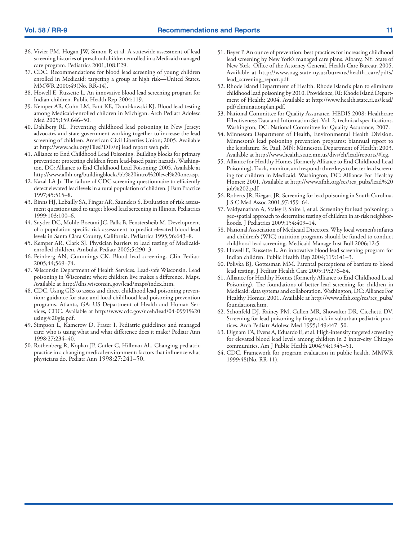- 36. Vivier PM, Hogan JW, Simon P, et al. A statewide assessment of lead screening histories of preschool children enrolled in a Medicaid managed care program. Pediatrics 2001;108:E29.
- 37. CDC. Recommendations for blood lead screening of young children enrolled in Medicaid: targeting a group at high risk—United States. MMWR 2000;49(No. RR-14).
- 38. Howell E, Russette L. An innovative blood lead screening program for Indian children. Public Health Rep 2004:119.
- 39. Kemper AR, Cohn LM, Fant KE, Dombkowski KJ. Blood lead testing among Medicaid-enrolled children in Michigan. Arch Pediatr Adolesc Med 2005;159:646–50.
- 40. Dahlberg RL. Preventing childhood lead poisoning in New Jersey: advocates and state government working together to increase the lead screening of children. American Civil Liberties Union; 2005. Available at [http://www.aclu.org/FilesPDFs/nj lead report web.pdf.](http://www.aclu.org/FilesPDFs/nj lead report web.pdf)
- 41. Alliance to End Childhood Lead Poisoning. Building blocks for primary prevention: protecting children from lead-based paint hazards. Washington, DC: Alliance to End Childhood Lead Poisoning; 2005. Available at [http://www.afhh.org/buildingblocks/bb%20intro%20level%20one.asp.](http://www.afhh.org/buildingblocks/bb%20intro%20level%20one.asp)
- 42. Kazal LA Jr. The failure of CDC screening questionnaire to efficiently detect elevated lead levels in a rural population of children. J Fam Practice 1997;45:515–8.
- 43. Binns HJ, LeBailly SA, Fingar AR, Saunders S. Evaluation of risk assessment questions used to target blood lead screening in Illinois. Pediatrics 1999;103:100–6.
- 44. Snyder DC, Mohle-Boetani JC, Palla B, Fenstersheib M. Development of a population-specific risk assessment to predict elevated blood lead levels in Santa Clara County, California. Pediatrics 1995;96:643–8.
- 45. Kemper AR, Clark SJ. Physician barriers to lead testing of Medicaidenrolled children. Ambulat Pediatr 2005;5:290–3.
- 46. Feinberg AN, Cummings CK. Blood lead screening. Clin Pediatr 2005;44;569–74.
- 47. Wisconsin Department of Health Services. Lead-safe Wisconsin. Lead poisoning in Wisconsin: where children live makes a difference. Maps. Available at [http://dhs.wisconsin.gov/lead/maps/index.htm.](http://dhs.wisconsin.gov/lead/maps/index.htm)
- 48. CDC. Using GIS to assess and direct childhood lead poisoning prevention: guidance for state and local childhood lead poisoning prevention programs. Atlanta, GA: US Department of Health and Human Services, CDC. Available at [http://www.cdc.gov/nceh/lead/04-0991%20](http://www.cdc.gov/nceh/lead/04-0991%20using%20gis.pdf) [using%20gis.pdf.](http://www.cdc.gov/nceh/lead/04-0991%20using%20gis.pdf)
- 49. Simpson L, Kamerow D, Fraser I. Pediatric guidelines and managed care: who is using what and what difference does it make? Pediatr Ann 1998;27:234–40.
- 50. Rothenberg R, Koplan JP, Cutler C, Hillman AL. Changing pediatric practice in a changing medical environment: factors that influence what physicians do. Pediatr Ann 1998:27:241–50.
- 51. Beyer P. An ounce of prevention: best practices for increasing childhood lead screening by New York's managed care plans. Albany, NY: State of New York, Office of the Attorney General, Health Care Bureau; 2005. Available at [http://www.oag.state.ny.us/bureaus/health\\_care/pdfs/](http://www.oag.state.ny.us/bureaus/health_care/pdfs/lead_screening_report.pdf) [lead\\_screening\\_report.pdf](http://www.oag.state.ny.us/bureaus/health_care/pdfs/lead_screening_report.pdf).
- 52. Rhode Island Department of Health. Rhode Island's plan to eliminate childhood lead poisoning by 2010. Providence, RI: Rhode Island Department of Health; 2004. Available at [http://www.health.state.ri.us/lead/](http://www.health.state.ri.us/lead/pdf/eliminationplan.pdf) [pdf/eliminationplan.pdf.](http://www.health.state.ri.us/lead/pdf/eliminationplan.pdf)
- 53. National Committee for Quality Assurance. HEDIS 2008: Healthcare Effectiveness Data and Information Set. Vol. 2, technical specifications. Washington, DC: National Committee for Quality Assurance; 2007.
- 54. Minnesota Department of Health, Environmental Health Division. Minnesota's lead poisoning prevention programs: biannual report to the legislature. St. Paul, MN: Minnesota Department of Health; 2003. Available at [http://www.health.state.mn.us/divs/eh/lead/reports/#leg.](http://www.health.state.mn.us/divs/eh/lead/reports/#leg)
- 55. Alliance for Healthy Homes (formerly Alliance to End Childhood Lead Poisoning). Track, monitor, and respond: three keys to better lead screening for children in Medicaid. Washington, DC: Alliance For Healthy Homes; 2001. Available at [http://www.afhh.org/res/res\\_pubs/lead%20](http://www.afhh.org/res/res_pubs/lead%20job%202.pdf) [job%202.pdf](http://www.afhh.org/res/res_pubs/lead%20job%202.pdf).
- 56. Roberts JR, Riegart JR. Screening for lead poisoning in South Carolina. J S C Med Assoc 2001;97:459–64.
- 57. Vaidyanathan A, Staley F, Shire J, et al. Screening for lead poisoning: a geo-spatial approach to determine testing of children in at-risk neighborhoods. J Pediatrics 2009;154:409–14.
- 58. National Association of Medicaid Directors. Why local women's infants and children's (WIC) nutrition programs should be funded to conduct childhood lead screening. Medicaid Manage Inst Bull 2006;12:5.
- 59. Howell E, Russette L. An innovative blood lead screening program for Indian children. Public Health Rep 2004;119:141–3.
- 60. Polivka BJ, Gottesman MM. Parental perceptions of barriers to blood lead testing. J Pediatr Health Care 2005;19:276–84.
- 61. Alliance for Healthy Homes (formerly Alliance to End Childhood Lead Poisoning). The foundations of better lead screening for children in Medicaid: data systems and collaboration. Washington, DC: Alliance For Healthy Homes; 2001. Available at [http://www.afhh.org/res/res\\_pubs/](http://www.afhh.org/res/res_pubs/foundations.htm) [foundations.htm](http://www.afhh.org/res/res_pubs/foundations.htm).
- 62. Schonfeld DJ, Rainey PM, Cullen MR, Showalter DR, Cicchetti DV. Screening for lead poisoning by fingerstick in suburban pediatric practices. Arch Pediatr Adolesc Med 1995;149:447–50.
- 63. Dignam TA, Evens A, Eduardo E, et al. High-intensity targeted screening for elevated blood lead levels among children in 2 inner-city Chicago communities. Am J Public Health 2004;94:1945–51.
- 64. CDC. Framework for program evaluation in public health. MMWR 1999;48(No. RR-11).